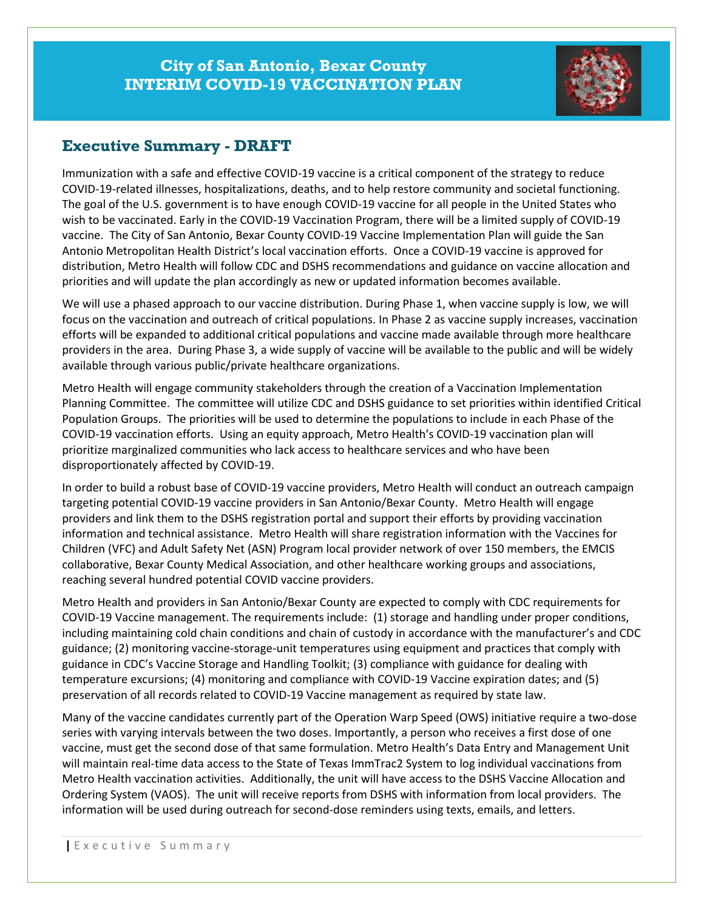

## **Executive Summary - DRAFT**

Immunization with a safe and effective COVID-19 vaccine is a critical component of the strategy to reduce COVID-19-related illnesses, hospitalizations, deaths, and to help restore community and societal functioning. The goal of the U.S. government is to have enough COVID-19 vaccine for all people in the United States who wish to be vaccinated. Early in the COVID-19 Vaccination Program, there will be a limited supply of COVID-19 vaccine. The City of San Antonio, Bexar County COVID-19 Vaccine Implementation Plan will guide the San Antonio Metropolitan Health District's local vaccination efforts. Once a COVID-19 vaccine is approved for distribution, Metro Health will follow CDC and DSHS recommendations and guidance on vaccine allocation and priorities and will update the plan accordingly as new or updated information becomes available.

We will use a phased approach to our vaccine distribution. During Phase 1, when vaccine supply is low, we will focus on the vaccination and outreach of critical populations. In Phase 2 as vaccine supply increases, vaccination efforts will be expanded to additional critical populations and vaccine made available through more healthcare providers in the area. During Phase 3, a wide supply of vaccine will be available to the public and will be widely available through various public/private healthcare organizations.

Metro Health will engage community stakeholders through the creation of a Vaccination Implementation Planning Committee. The committee will utilize CDC and DSHS guidance to set priorities within identified Critical Population Groups. The priorities will be used to determine the populations to include in each Phase of the COVID-19 vaccination efforts. Using an equity approach, Metro Health's COVID-19 vaccination plan will prioritize marginalized communities who lack access to healthcare services and who have been disproportionately affected by COVID-19.

In order to build a robust base of COVID-19 vaccine providers, Metro Health will conduct an outreach campaign targeting potential COVID-19 vaccine providers in San Antonio/Bexar County. Metro Health will engage providers and link them to the DSHS registration portal and support their efforts by providing vaccination information and technical assistance. Metro Health will share registration information with the Vaccines for Children (VFC) and Adult Safety Net (ASN) Program local provider network of over 150 members, the EMCIS collaborative, Bexar County Medical Association, and other healthcare working groups and associations, reaching several hundred potential COVID vaccine providers.

Metro Health and providers in San Antonio/Bexar County are expected to comply with CDC requirements for COVID-19 Vaccine management. The requirements include: (1) storage and handling under proper conditions, including maintaining cold chain conditions and chain of custody in accordance with the manufacturer's and CDC guidance; (2) monitoring vaccine-storage-unit temperatures using equipment and practices that comply with guidance in CDC's Vaccine Storage and Handling Toolkit; (3) compliance with guidance for dealing with temperature excursions; (4) monitoring and compliance with COVID-19 Vaccine expiration dates; and (5) preservation of all records related to COVID-19 Vaccine management as required by state law.

Many of the vaccine candidates currently part of the Operation Warp Speed (OWS) initiative require a two-dose series with varying intervals between the two doses. Importantly, a person who receives a first dose of one vaccine, must get the second dose of that same formulation. Metro Health's Data Entry and Management Unit will maintain real-time data access to the State of Texas ImmTrac2 System to log individual vaccinations from Metro Health vaccination activities. Additionally, the unit will have access to the DSHS Vaccine Allocation and Ordering System (VAOS). The unit will receive reports from DSHS with information from local providers. The information will be used during outreach for second-dose reminders using texts, emails, and letters.